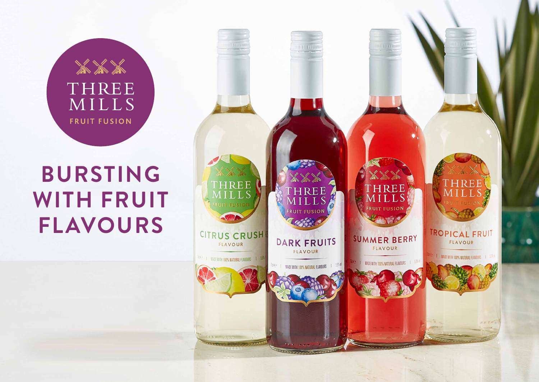# the the THREE MILLS **FRUIT FUSION**

# **BURSTING WITH FRUIT FLAVOURS**

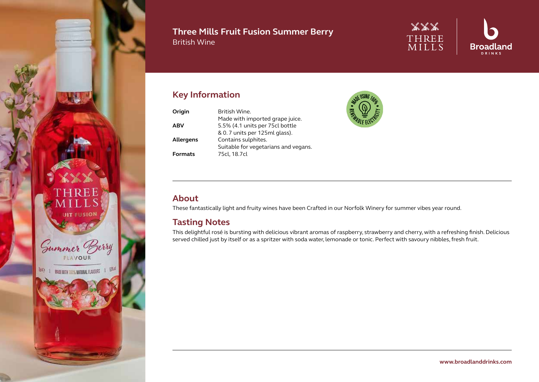

#### **Three Mills Fruit Fusion Summer Berry** British Wine



# **Key Information**

| Origin           | British Wine.                        |
|------------------|--------------------------------------|
|                  | Made with imported grape juice.      |
| <b>ABV</b>       | 5.5% (4.1 units per 75cl bottle      |
|                  | & 0.7 units per 125ml glass).        |
| <b>Allergens</b> | Contains sulphites.                  |
|                  | Suitable for vegetarians and vegans. |
| <b>Formats</b>   | 75cl, 18.7cl                         |



#### **About**

These fantastically light and fruity wines have been Crafted in our Norfolk Winery for summer vibes year round.

#### **Tasting Notes**

This delightful rosé is bursting with delicious vibrant aromas of raspberry, strawberry and cherry, with a refreshing finish. Delicious served chilled just by itself or as a spritzer with soda water, lemonade or tonic. Perfect with savoury nibbles, fresh fruit.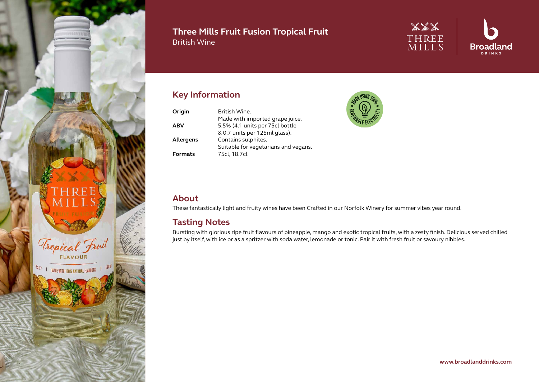

#### **Three Mills Fruit Fusion Tropical Fruit** British Wine



# **Key Information**

| Origin           | <b>Rritish Wine.</b>                 |
|------------------|--------------------------------------|
|                  | Made with imported grape juice.      |
| <b>ABV</b>       | 5.5% (4.1 units per 75cl bottle      |
|                  | & 0.7 units per 125ml glass).        |
| <b>Allergens</b> | Contains sulphites.                  |
|                  | Suitable for vegetarians and vegans. |
| <b>Formats</b>   | 75cl, 18.7cl                         |



#### **About**

These fantastically light and fruity wines have been Crafted in our Norfolk Winery for summer vibes year round.

#### **Tasting Notes**

Bursting with glorious ripe fruit flavours of pineapple, mango and exotic tropical fruits, with a zesty finish. Delicious served chilled just by itself, with ice or as a spritzer with soda water, lemonade or tonic. Pair it with fresh fruit or savoury nibbles.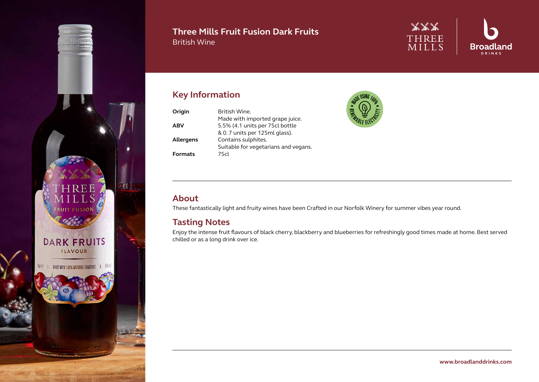

#### **Three Mills Fruit Fusion Dark Fruits** British Wine



# **Key Information**

| Origin           | British Wine.                        |
|------------------|--------------------------------------|
|                  | Made with imported grape juice.      |
| <b>ABV</b>       | 5.5% (4.1 units per 75cl bottle      |
|                  | & 0.7 units per 125ml glass).        |
| <b>Allergens</b> | Contains sulphites.                  |
|                  | Suitable for vegetarians and vegans. |
| <b>Formats</b>   | 75cl                                 |



#### **About**

These fantastically light and fruity wines have been Crafted in our Norfolk Winery for summer vibes year round.

#### **Tasting Notes**

Enjoy the intense fruit flavours of black cherry, blackberry and blueberries for refreshingly good times made at home. Best served chilled or as a long drink over ice.